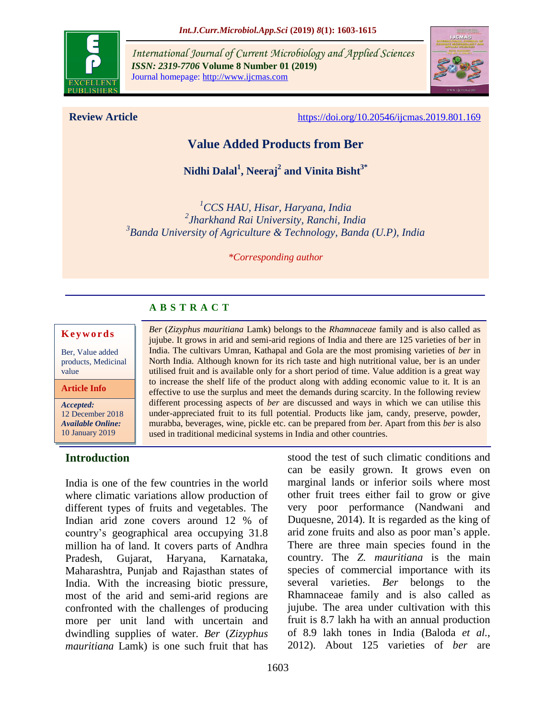

*International Journal of Current Microbiology and Applied Sciences ISSN: 2319-7706* **Volume 8 Number 01 (2019)**  Journal homepage: http://www.ijcmas.com



**Review Article** <https://doi.org/10.20546/ijcmas.2019.801.169>

# **Value Added Products from Ber**

**Nidhi Dalal<sup>1</sup> , Neeraj<sup>2</sup> and Vinita Bisht3\***

*<sup>1</sup>CCS HAU, Hisar, Haryana, India 2 Jharkhand Rai University, Ranchi, India 3 Banda University of Agriculture & Technology, Banda (U.P), India*

*\*Corresponding author*

*Ber* (*Zizyphus mauritiana* Lamk) belongs to the *Rhamnaceae* family and is also called as jujube. It grows in arid and semi-arid regions of India and there are 125 varieties of b*er* in India. The cultivars Umran, Kathapal and Gola are the most promising varieties of *ber* in North India. Although known for its rich taste and high nutritional value, ber is an under utilised fruit and is available only for a short period of time. Value addition is a great way to increase the shelf life of the product along with adding economic value to it. It is an effective to use the surplus and meet the demands during scarcity. In the following review different processing aspects of *ber* are discussed and ways in which we can utilise this under-appreciated fruit to its full potential. Products like jam, candy, preserve, powder, murabba, beverages, wine, pickle etc. can be prepared from *be*r. Apart from this *ber* is also

## **A B S T R A C T**

#### **K e y w o r d s**

Ber, Value added products, Medicinal value

**Article Info**

*Accepted:*  12 December 2018 *Available Online:* 10 January 2019

#### **Introduction**

India is one of the few countries in the world where climatic variations allow production of different types of fruits and vegetables. The Indian arid zone covers around 12 % of country"s geographical area occupying 31.8 million ha of land. It covers parts of Andhra Pradesh, Gujarat, Haryana, Karnataka, Maharashtra, Punjab and Rajasthan states of India. With the increasing biotic pressure, most of the arid and semi-arid regions are confronted with the challenges of producing more per unit land with uncertain and dwindling supplies of water. *Ber* (*Zizyphus mauritiana* Lamk) is one such fruit that has

stood the test of such climatic conditions and can be easily grown. It grows even on marginal lands or inferior soils where most other fruit trees either fail to grow or give very poor performance (Nandwani and Duquesne, 2014). It is regarded as the king of arid zone fruits and also as poor man"s apple. There are three main species found in the country. The *Z. mauritiana* is the main species of commercial importance with its several varieties. *Ber* belongs to the Rhamnaceae family and is also called as jujube. The area under cultivation with this fruit is 8.7 lakh ha with an annual production of 8.9 lakh tones in India (Baloda *et al.,* 2012). About 125 varieties of *ber* are used in traditional medicinal systems in India and other countries.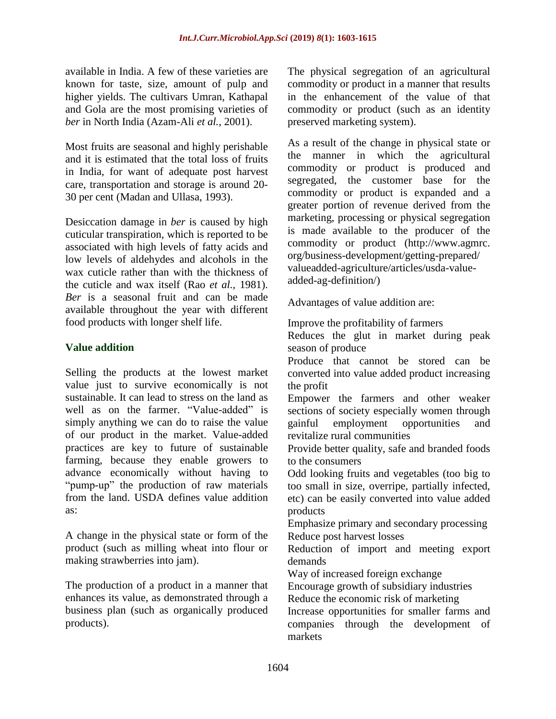available in India. A few of these varieties are known for taste, size, amount of pulp and higher yields. The cultivars Umran, Kathapal and Gola are the most promising varieties of *ber* in North India (Azam-Ali *et al.,* 2001).

Most fruits are seasonal and highly perishable and it is estimated that the total loss of fruits in India, for want of adequate post harvest care, transportation and storage is around 20- 30 per cent (Madan and Ullasa, 1993).

Desiccation damage in *ber* is caused by high cuticular transpiration, which is reported to be associated with high levels of fatty acids and low levels of aldehydes and alcohols in the wax cuticle rather than with the thickness of the cuticle and wax itself (Rao *et al.,* 1981). *Ber* is a seasonal fruit and can be made available throughout the year with different food products with longer shelf life.

#### **Value addition**

Selling the products at the lowest market value just to survive economically is not sustainable. It can lead to stress on the land as well as on the farmer. "Value-added" is simply anything we can do to raise the value of our product in the market. Value-added practices are key to future of sustainable farming, because they enable growers to advance economically without having to "pump-up" the production of raw materials from the land. USDA defines value addition as:

A change in the physical state or form of the product (such as milling wheat into flour or making strawberries into jam).

The production of a product in a manner that enhances its value, as demonstrated through a business plan (such as organically produced products).

The physical segregation of an agricultural commodity or product in a manner that results in the enhancement of the value of that commodity or product (such as an identity preserved marketing system).

As a result of the change in physical state or the manner in which the agricultural commodity or product is produced and segregated, the customer base for the commodity or product is expanded and a greater portion of revenue derived from the marketing, processing or physical segregation is made available to the producer of the commodity or product (http://www.agmrc. org/business-development/getting-prepared/ valueadded-agriculture/articles/usda-valueadded-ag-definition/)

Advantages of value addition are:

Improve the profitability of farmers

Reduces the glut in market during peak season of produce

Produce that cannot be stored can be converted into value added product increasing the profit

Empower the farmers and other weaker sections of society especially women through gainful employment opportunities and revitalize rural communities

Provide better quality, safe and branded foods to the consumers

Odd looking fruits and vegetables (too big to too small in size, overripe, partially infected, etc) can be easily converted into value added products

Emphasize primary and secondary processing Reduce post harvest losses

Reduction of import and meeting export demands

Way of increased foreign exchange

Encourage growth of subsidiary industries

Reduce the economic risk of marketing

Increase opportunities for smaller farms and companies through the development of markets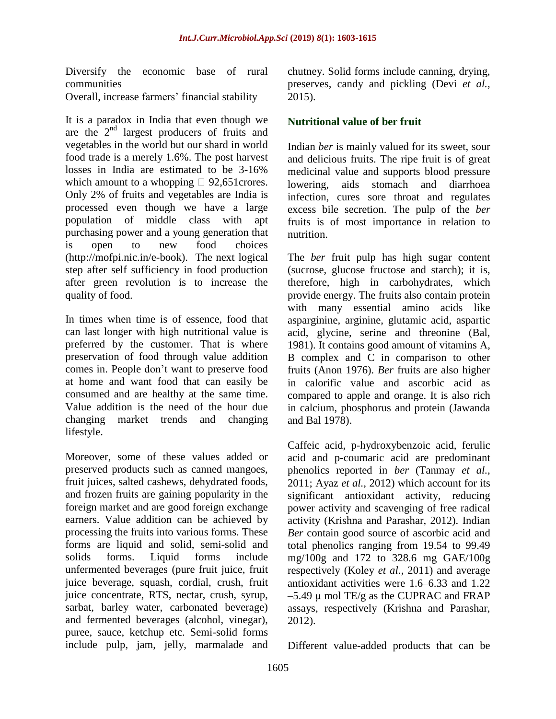Diversify the economic base of rural communities Overall, increase farmers" financial stability

It is a paradox in India that even though we are the 2<sup>nd</sup> largest producers of fruits and vegetables in the world but our shard in world food trade is a merely 1.6%. The post harvest losses in India are estimated to be 3-16% which amount to a whopping  $\Box$  92,651 crores. Only 2% of fruits and vegetables are India is processed even though we have a large population of middle class with apt purchasing power and a young generation that is open to new food choices (http://mofpi.nic.in/e-book). The next logical step after self sufficiency in food production after green revolution is to increase the quality of food.

In times when time is of essence, food that can last longer with high nutritional value is preferred by the customer. That is where preservation of food through value addition comes in. People don"t want to preserve food at home and want food that can easily be consumed and are healthy at the same time. Value addition is the need of the hour due changing market trends and changing lifestyle.

Moreover, some of these values added or preserved products such as canned mangoes, fruit juices, salted cashews, dehydrated foods, and frozen fruits are gaining popularity in the foreign market and are good foreign exchange earners. Value addition can be achieved by processing the fruits into various forms. These forms are liquid and solid, semi-solid and solids forms. Liquid forms include unfermented beverages (pure fruit juice, fruit juice beverage, squash, cordial, crush, fruit juice concentrate, RTS, nectar, crush, syrup, sarbat, barley water, carbonated beverage) and fermented beverages (alcohol, vinegar), puree, sauce, ketchup etc. Semi-solid forms include pulp, jam, jelly, marmalade and chutney. Solid forms include canning, drying, preserves, candy and pickling (Devi *et al.,* 2015).

## **Nutritional value of ber fruit**

Indian *ber* is mainly valued for its sweet, sour and delicious fruits. The ripe fruit is of great medicinal value and supports blood pressure lowering, aids stomach and diarrhoea infection, cures sore throat and regulates excess bile secretion. The pulp of the *ber* fruits is of most importance in relation to nutrition.

The *ber* fruit pulp has high sugar content (sucrose, glucose fructose and starch); it is, therefore, high in carbohydrates, which provide energy. The fruits also contain protein with many essential amino acids like asparginine, arginine, glutamic acid, aspartic acid, glycine, serine and threonine (Bal, 1981). It contains good amount of vitamins A, B complex and C in comparison to other fruits (Anon 1976). *Ber* fruits are also higher in calorific value and ascorbic acid as compared to apple and orange. It is also rich in calcium, phosphorus and protein (Jawanda and Bal 1978).

Caffeic acid, p-hydroxybenzoic acid, ferulic acid and p-coumaric acid are predominant phenolics reported in *ber* (Tanmay *et al.,* 2011; Ayaz *et al.,* 2012) which account for its significant antioxidant activity, reducing power activity and scavenging of free radical activity (Krishna and Parashar, 2012). Indian *Ber* contain good source of ascorbic acid and total phenolics ranging from 19.54 to 99.49 mg/100g and 172 to 328.6 mg GAE/100g respectively (Koley *et al.,* 2011) and average antioxidant activities were 1.6–6.33 and 1.22  $-5.49$  μ mol TE/g as the CUPRAC and FRAP assays, respectively (Krishna and Parashar, 2012).

Different value-added products that can be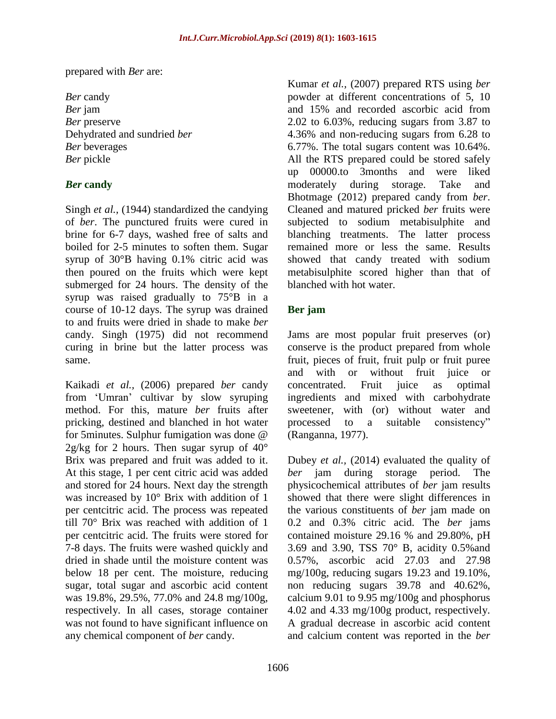prepared with *Ber* are:

*Ber* candy *Ber* jam *Ber* preserve Dehydrated and sundried *ber Ber* beverages *Ber* pickle

#### *Ber* **candy**

Singh *et al.,* (1944) standardized the candying of *ber*. The punctured fruits were cured in brine for 6-7 days, washed free of salts and boiled for 2-5 minutes to soften them. Sugar syrup of 30°B having 0.1% citric acid was then poured on the fruits which were kept submerged for 24 hours. The density of the syrup was raised gradually to 75°B in a course of 10-12 days. The syrup was drained to and fruits were dried in shade to make *ber* candy. Singh (1975) did not recommend curing in brine but the latter process was same.

Kaikadi *et al.,* (2006) prepared *ber* candy from "Umran" cultivar by slow syruping method. For this, mature *ber* fruits after pricking, destined and blanched in hot water for 5minutes. Sulphur fumigation was done @  $2g/kg$  for 2 hours. Then sugar syrup of  $40^{\circ}$ Brix was prepared and fruit was added to it. At this stage, 1 per cent citric acid was added and stored for 24 hours. Next day the strength was increased by 10° Brix with addition of 1 per centcitric acid. The process was repeated till 70° Brix was reached with addition of 1 per centcitric acid. The fruits were stored for 7-8 days. The fruits were washed quickly and dried in shade until the moisture content was below 18 per cent. The moisture, reducing sugar, total sugar and ascorbic acid content was 19.8%, 29.5%, 77.0% and 24.8 mg/100g, respectively. In all cases, storage container was not found to have significant influence on any chemical component of *ber* candy.

Kumar *et al.,* (2007) prepared RTS using *ber* powder at different concentrations of 5, 10 and 15% and recorded ascorbic acid from 2.02 to 6.03%, reducing sugars from 3.87 to 4.36% and non-reducing sugars from 6.28 to 6.77%. The total sugars content was 10.64%. All the RTS prepared could be stored safely up 00000.to 3months and were liked moderately during storage. Take and Bhotmage (2012) prepared candy from *ber*. Cleaned and matured pricked *ber* fruits were subjected to sodium metabisulphite and blanching treatments. The latter process remained more or less the same. Results showed that candy treated with sodium metabisulphite scored higher than that of blanched with hot water.

#### **Ber jam**

Jams are most popular fruit preserves (or) conserve is the product prepared from whole fruit, pieces of fruit, fruit pulp or fruit puree and with or without fruit juice or concentrated. Fruit juice as optimal ingredients and mixed with carbohydrate sweetener, with (or) without water and processed to a suitable consistency" (Ranganna, 1977).

Dubey *et al.,* (2014) evaluated the quality of *ber* jam during storage period. The physicochemical attributes of *ber* jam results showed that there were slight differences in the various constituents of *ber* jam made on 0.2 and 0.3% citric acid. The *ber* jams contained moisture 29.16 % and 29.80%, pH 3.69 and 3.90, TSS 70° B, acidity 0.5%and 0.57%, ascorbic acid 27.03 and 27.98 mg/100g, reducing sugars 19.23 and 19.10%, non reducing sugars 39.78 and 40.62%, calcium 9.01 to 9.95 mg/100g and phosphorus 4.02 and 4.33 mg/100g product, respectively. A gradual decrease in ascorbic acid content and calcium content was reported in the *ber*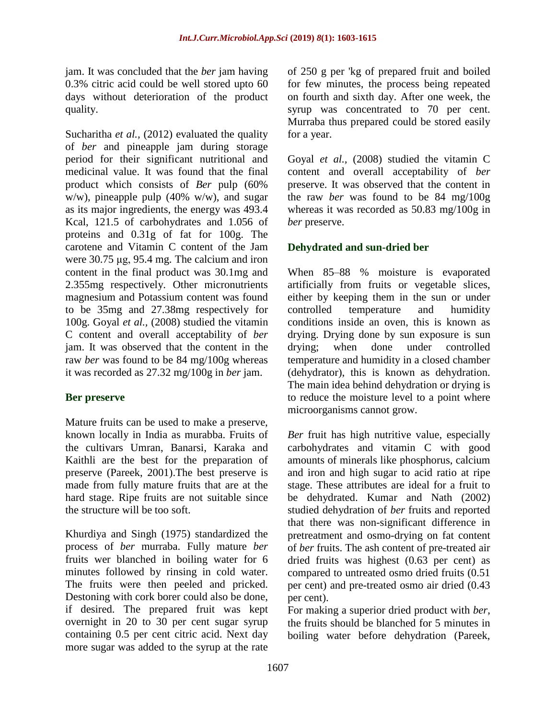jam. It was concluded that the *ber* jam having 0.3% citric acid could be well stored upto 60 days without deterioration of the product quality.

Sucharitha *et al.,* (2012) evaluated the quality of *ber* and pineapple jam during storage period for their significant nutritional and medicinal value. It was found that the final product which consists of *Ber* pulp (60% w/w), pineapple pulp (40% w/w), and sugar as its major ingredients, the energy was 493.4 Kcal, 121.5 of carbohydrates and 1.056 of proteins and 0.31g of fat for 100g. The carotene and Vitamin C content of the Jam were 30.75 μg, 95.4 mg. The calcium and iron content in the final product was 30.1mg and 2.355mg respectively. Other micronutrients magnesium and Potassium content was found to be 35mg and 27.38mg respectively for 100g. Goyal *et al.,* (2008) studied the vitamin C content and overall acceptability of *ber* jam. It was observed that the content in the raw *ber* was found to be 84 mg/100g whereas it was recorded as 27.32 mg/100g in *ber* jam.

#### **Ber preserve**

Mature fruits can be used to make a preserve, known locally in India as murabba. Fruits of the cultivars Umran, Banarsi, Karaka and Kaithli are the best for the preparation of preserve (Pareek, 2001).The best preserve is made from fully mature fruits that are at the hard stage. Ripe fruits are not suitable since the structure will be too soft.

Khurdiya and Singh (1975) standardized the process of *ber* murraba. Fully mature *ber* fruits wer blanched in boiling water for 6 minutes followed by rinsing in cold water. The fruits were then peeled and pricked. Destoning with cork borer could also be done, if desired. The prepared fruit was kept overnight in 20 to 30 per cent sugar syrup containing 0.5 per cent citric acid. Next day more sugar was added to the syrup at the rate of 250 g per 'kg of prepared fruit and boiled for few minutes, the process being repeated on fourth and sixth day. After one week, the syrup was concentrated to 70 per cent. Murraba thus prepared could be stored easily for a year.

Goyal *et al.,* (2008) studied the vitamin C content and overall acceptability of *ber* preserve. It was observed that the content in the raw *ber* was found to be 84 mg/100g whereas it was recorded as 50.83 mg/100g in *ber* preserve.

## **Dehydrated and sun-dried ber**

When 85–88 % moisture is evaporated artificially from fruits or vegetable slices, either by keeping them in the sun or under controlled temperature and humidity conditions inside an oven, this is known as drying. Drying done by sun exposure is sun drying; when done under controlled temperature and humidity in a closed chamber (dehydrator), this is known as dehydration. The main idea behind dehydration or drying is to reduce the moisture level to a point where microorganisms cannot grow.

*Ber* fruit has high nutritive value, especially carbohydrates and vitamin C with good amounts of minerals like phosphorus, calcium and iron and high sugar to acid ratio at ripe stage. These attributes are ideal for a fruit to be dehydrated. Kumar and Nath (2002) studied dehydration of *ber* fruits and reported that there was non-significant difference in pretreatment and osmo-drying on fat content of *ber* fruits. The ash content of pre-treated air dried fruits was highest (0.63 per cent) as compared to untreated osmo dried fruits (0.51 per cent) and pre-treated osmo air dried (0.43 per cent).

For making a superior dried product with *ber*, the fruits should be blanched for 5 minutes in boiling water before dehydration (Pareek,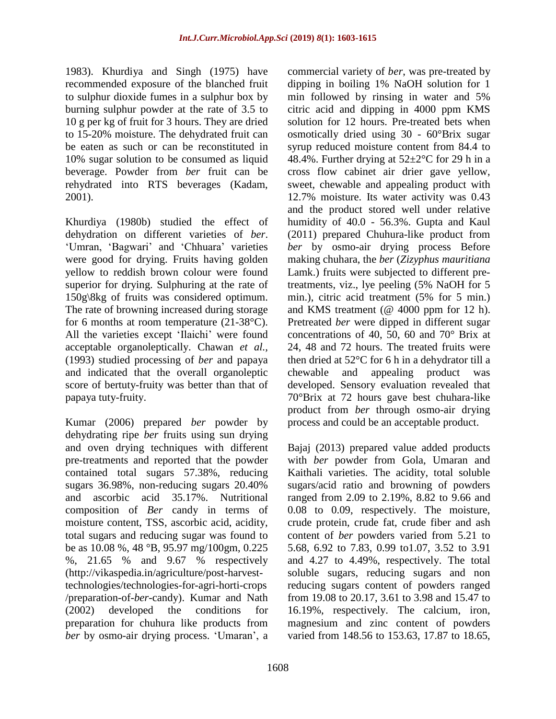1983). Khurdiya and Singh (1975) have recommended exposure of the blanched fruit to sulphur dioxide fumes in a sulphur box by burning sulphur powder at the rate of 3.5 to 10 g per kg of fruit for 3 hours. They are dried to 15-20% moisture. The dehydrated fruit can be eaten as such or can be reconstituted in 10% sugar solution to be consumed as liquid beverage. Powder from *ber* fruit can be rehydrated into RTS beverages (Kadam, 2001).

Khurdiya (1980b) studied the effect of dehydration on different varieties of *ber*. 'Umran, 'Bagwari' and 'Chhuara' varieties were good for drying. Fruits having golden yellow to reddish brown colour were found superior for drying. Sulphuring at the rate of 150g\8kg of fruits was considered optimum. The rate of browning increased during storage for 6 months at room temperature (21-38°C). All the varieties except "Ilaichi" were found acceptable organoleptically. Chawan *et al.,* (1993) studied processing of *ber* and papaya and indicated that the overall organoleptic score of bertuty-fruity was better than that of papaya tuty-fruity.

Kumar (2006) prepared *ber* powder by dehydrating ripe *ber* fruits using sun drying and oven drying techniques with different pre-treatments and reported that the powder contained total sugars 57.38%, reducing sugars 36.98%, non-reducing sugars 20.40% and ascorbic acid 35.17%. Nutritional composition of *Ber* candy in terms of moisture content, TSS, ascorbic acid, acidity, total sugars and reducing sugar was found to be as 10.08 %, 48 °B, 95.97 mg/100gm, 0.225 %, 21.65 % and 9.67 % respectively (http://vikaspedia.in/agriculture/post-harvesttechnologies/technologies-for-agri-horti-crops /preparation-of-*ber*-candy). Kumar and Nath (2002) developed the conditions for preparation for chuhura like products from *ber* by osmo-air drying process. 'Umaran', a commercial variety of *ber*, was pre-treated by dipping in boiling 1% NaOH solution for 1 min followed by rinsing in water and 5% citric acid and dipping in 4000 ppm KMS solution for 12 hours. Pre-treated bets when osmotically dried using 30 - 60°Brix sugar syrup reduced moisture content from 84.4 to 48.4%. Further drying at  $52\pm2\degree$ C for 29 h in a cross flow cabinet air drier gave yellow, sweet, chewable and appealing product with 12.7% moisture. Its water activity was 0.43 and the product stored well under relative humidity of 40.0 - 56.3%. Gupta and Kaul (2011) prepared Chuhura-like product from *ber* by osmo-air drying process Before making chuhara, the *ber* (*Zizyphus mauritiana* Lamk.) fruits were subjected to different pretreatments, viz., lye peeling (5% NaOH for 5 min.), citric acid treatment (5% for 5 min.) and KMS treatment (@ 4000 ppm for 12 h). Pretreated *ber* were dipped in different sugar concentrations of 40, 50, 60 and 70° Brix at 24, 48 and 72 hours. The treated fruits were then dried at 52°C for 6 h in a dehydrator till a chewable and appealing product was developed. Sensory evaluation revealed that 70°Brix at 72 hours gave best chuhara-like product from *ber* through osmo-air drying process and could be an acceptable product.

Bajaj (2013) prepared value added products with *ber* powder from Gola, Umaran and Kaithali varieties. The acidity, total soluble sugars/acid ratio and browning of powders ranged from 2.09 to 2.19%, 8.82 to 9.66 and 0.08 to 0.09, respectively. The moisture, crude protein, crude fat, crude fiber and ash content of *ber* powders varied from 5.21 to 5.68, 6.92 to 7.83, 0.99 to1.07, 3.52 to 3.91 and 4.27 to 4.49%, respectively. The total soluble sugars, reducing sugars and non reducing sugars content of powders ranged from 19.08 to 20.17, 3.61 to 3.98 and 15.47 to 16.19%, respectively. The calcium, iron, magnesium and zinc content of powders varied from 148.56 to 153.63, 17.87 to 18.65,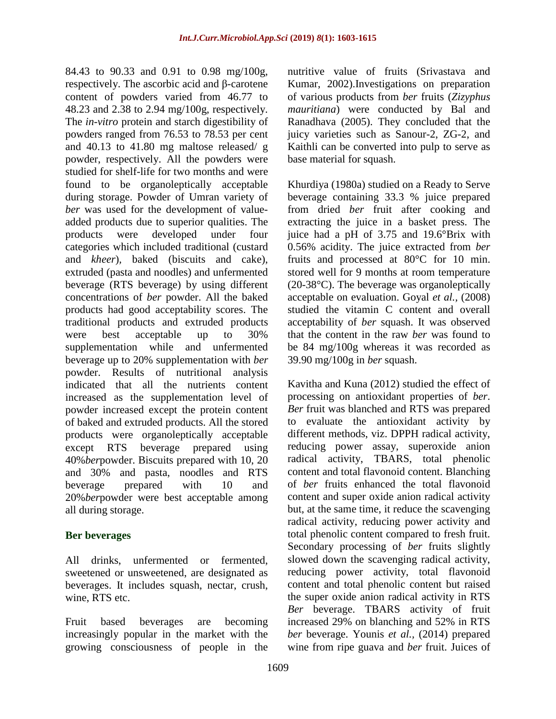84.43 to 90.33 and 0.91 to 0.98 mg/100g, respectively. The ascorbic acid and β-carotene content of powders varied from 46.77 to 48.23 and 2.38 to 2.94 mg/100g, respectively. The *in-vitro* protein and starch digestibility of powders ranged from 76.53 to 78.53 per cent and 40.13 to 41.80 mg maltose released/ g powder, respectively. All the powders were studied for shelf-life for two months and were found to be organoleptically acceptable during storage. Powder of Umran variety of *ber* was used for the development of valueadded products due to superior qualities. The products were developed under four categories which included traditional (custard and *kheer*)*,* baked (biscuits and cake), extruded (pasta and noodles) and unfermented beverage (RTS beverage) by using different concentrations of *ber* powder. All the baked products had good acceptability scores. The traditional products and extruded products were best acceptable up to 30% supplementation while and unfermented beverage up to 20% supplementation with *ber* powder. Results of nutritional analysis indicated that all the nutrients content increased as the supplementation level of powder increased except the protein content of baked and extruded products. All the stored products were organoleptically acceptable except RTS beverage prepared using 40%*ber*powder. Biscuits prepared with 10, 20 and 30% and pasta, noodles and RTS beverage prepared with 10 and 20%*ber*powder were best acceptable among all during storage.

#### **Ber beverages**

All drinks, unfermented or fermented, sweetened or unsweetened, are designated as beverages. It includes squash, nectar, crush, wine, RTS etc.

Fruit based beverages are becoming increasingly popular in the market with the growing consciousness of people in the nutritive value of fruits (Srivastava and Kumar, 2002).Investigations on preparation of various products from *ber* fruits (*Zizyphus mauritiana*) were conducted by Bal and Ranadhava (2005). They concluded that the juicy varieties such as Sanour-2, ZG-2, and Kaithli can be converted into pulp to serve as base material for squash.

Khurdiya (1980a) studied on a Ready to Serve beverage containing 33.3 % juice prepared from dried *ber* fruit after cooking and extracting the juice in a basket press. The juice had a pH of 3.75 and 19.6°Brix with 0.56% acidity. The juice extracted from *ber* fruits and processed at 80°C for 10 min. stored well for 9 months at room temperature (20-38°C). The beverage was organoleptically acceptable on evaluation. Goyal *et al.,* (2008) studied the vitamin C content and overall acceptability of *ber* squash. It was observed that the content in the raw *ber* was found to be 84 mg/100g whereas it was recorded as 39.90 mg/100g in *ber* squash.

Kavitha and Kuna (2012) studied the effect of processing on antioxidant properties of *ber*. *Ber* fruit was blanched and RTS was prepared to evaluate the antioxidant activity by different methods, viz. DPPH radical activity, reducing power assay, superoxide anion radical activity, TBARS, total phenolic content and total flavonoid content. Blanching of *ber* fruits enhanced the total flavonoid content and super oxide anion radical activity but, at the same time, it reduce the scavenging radical activity, reducing power activity and total phenolic content compared to fresh fruit. Secondary processing of *ber* fruits slightly slowed down the scavenging radical activity, reducing power activity, total flavonoid content and total phenolic content but raised the super oxide anion radical activity in RTS *Ber* beverage. TBARS activity of fruit increased 29% on blanching and 52% in RTS *ber* beverage. Younis *et al.,* (2014) prepared wine from ripe guava and *ber* fruit. Juices of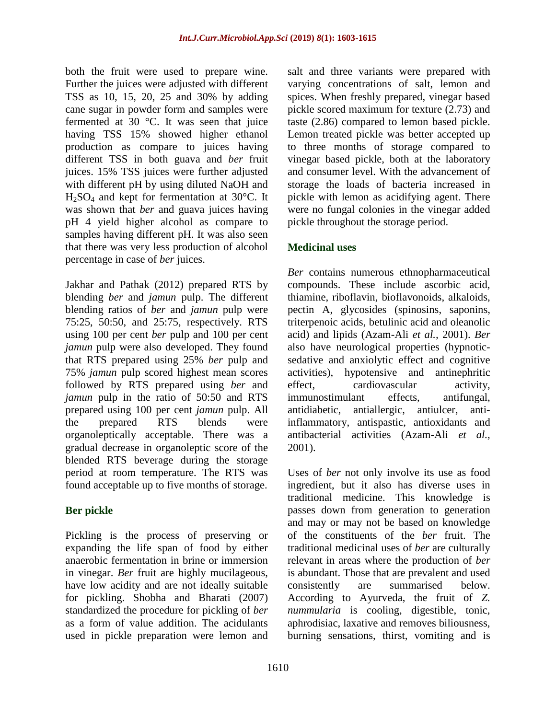both the fruit were used to prepare wine. Further the juices were adjusted with different TSS as 10, 15, 20, 25 and 30% by adding cane sugar in powder form and samples were fermented at 30 °C. It was seen that juice having TSS 15% showed higher ethanol production as compare to juices having different TSS in both guava and *ber* fruit juices. 15% TSS juices were further adjusted with different pH by using diluted NaOH and H2SO<sup>4</sup> and kept for fermentation at 30°C. It was shown that *ber* and guava juices having pH 4 yield higher alcohol as compare to samples having different pH. It was also seen that there was very less production of alcohol percentage in case of *ber* juices.

Jakhar and Pathak (2012) prepared RTS by blending *ber* and *jamun* pulp. The different blending ratios of *ber* and *jamun* pulp were 75:25, 50:50, and 25:75, respectively. RTS using 100 per cent *ber* pulp and 100 per cent *jamun* pulp were also developed. They found that RTS prepared using 25% *ber* pulp and 75% *jamun* pulp scored highest mean scores followed by RTS prepared using *ber* and *jamun* pulp in the ratio of 50:50 and RTS prepared using 100 per cent *jamun* pulp. All the prepared RTS blends were organoleptically acceptable. There was a gradual decrease in organoleptic score of the blended RTS beverage during the storage period at room temperature. The RTS was found acceptable up to five months of storage.

# **Ber pickle**

Pickling is the process of preserving or expanding the life span of food by either anaerobic fermentation in brine or immersion in vinegar. *Ber* fruit are highly mucilageous, have low acidity and are not ideally suitable for pickling. Shobha and Bharati (2007) standardized the procedure for pickling of *ber* as a form of value addition. The acidulants used in pickle preparation were lemon and salt and three variants were prepared with varying concentrations of salt, lemon and spices. When freshly prepared, vinegar based pickle scored maximum for texture (2.73) and taste (2.86) compared to lemon based pickle. Lemon treated pickle was better accepted up to three months of storage compared to vinegar based pickle, both at the laboratory and consumer level. With the advancement of storage the loads of bacteria increased in pickle with lemon as acidifying agent. There were no fungal colonies in the vinegar added pickle throughout the storage period.

## **Medicinal uses**

*Ber* contains numerous ethnopharmaceutical compounds. These include ascorbic acid, thiamine, riboflavin, bioflavonoids, alkaloids, pectin A, glycosides (spinosins, saponins, triterpenoic acids, betulinic acid and oleanolic acid) and lipids (Azam-Ali *et al.,* 2001). *Ber* also have neurological properties (hypnoticsedative and anxiolytic effect and cognitive activities), hypotensive and antinephritic effect, cardiovascular activity, immunostimulant effects, antifungal, antidiabetic, antiallergic, antiulcer, antiinflammatory, antispastic, antioxidants and antibacterial activities (Azam-Ali *et al.,* 2001).

Uses of *ber* not only involve its use as food ingredient, but it also has diverse uses in traditional medicine. This knowledge is passes down from generation to generation and may or may not be based on knowledge of the constituents of the *ber* fruit. The traditional medicinal uses of *ber* are culturally relevant in areas where the production of *ber* is abundant. Those that are prevalent and used consistently are summarised below. According to Ayurveda, the fruit of *Z. nummularia* is cooling, digestible, tonic, aphrodisiac, laxative and removes biliousness, burning sensations, thirst, vomiting and is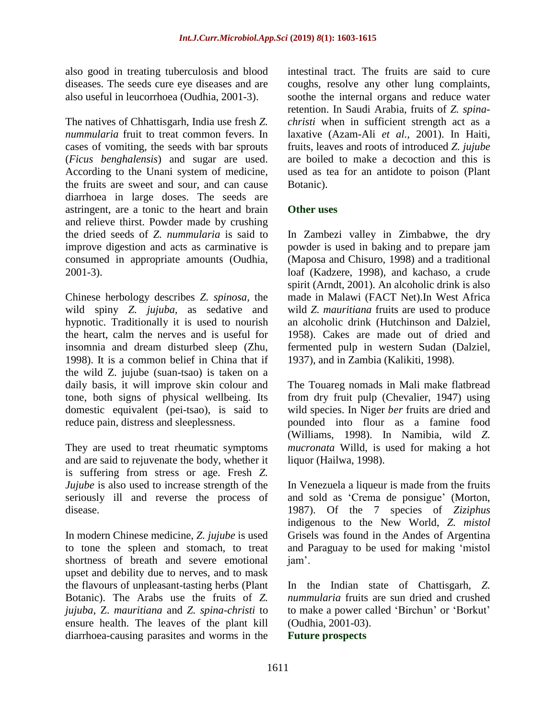also good in treating tuberculosis and blood diseases. The seeds cure eye diseases and are also useful in leucorrhoea (Oudhia, 2001-3).

The natives of Chhattisgarh, India use fresh *Z. nummularia* fruit to treat common fevers. In cases of vomiting, the seeds with bar sprouts (*Ficus benghalensis*) and sugar are used. According to the Unani system of medicine, the fruits are sweet and sour, and can cause diarrhoea in large doses. The seeds are astringent, are a tonic to the heart and brain and relieve thirst. Powder made by crushing the dried seeds of *Z. nummularia* is said to improve digestion and acts as carminative is consumed in appropriate amounts (Oudhia, 2001-3).

Chinese herbology describes *Z. spinosa,* the wild spiny *Z. jujuba,* as sedative and hypnotic. Traditionally it is used to nourish the heart, calm the nerves and is useful for insomnia and dream disturbed sleep (Zhu, 1998). It is a common belief in China that if the wild Z. jujube (suan-tsao) is taken on a daily basis, it will improve skin colour and tone, both signs of physical wellbeing. Its domestic equivalent (pei-tsao), is said to reduce pain, distress and sleeplessness.

They are used to treat rheumatic symptoms and are said to rejuvenate the body, whether it is suffering from stress or age. Fresh *Z. Jujube* is also used to increase strength of the seriously ill and reverse the process of disease.

In modern Chinese medicine, *Z. jujube* is used to tone the spleen and stomach, to treat shortness of breath and severe emotional upset and debility due to nerves, and to mask the flavours of unpleasant-tasting herbs (Plant Botanic). The Arabs use the fruits of *Z. jujuba*, Z. *mauritiana* and *Z. spina-christi* to ensure health. The leaves of the plant kill diarrhoea-causing parasites and worms in the

intestinal tract. The fruits are said to cure coughs, resolve any other lung complaints, soothe the internal organs and reduce water retention. In Saudi Arabia, fruits of *Z. spinachristi* when in sufficient strength act as a laxative (Azam-Ali *et al.,* 2001). In Haiti, fruits, leaves and roots of introduced *Z. jujube* are boiled to make a decoction and this is used as tea for an antidote to poison (Plant Botanic).

#### **Other uses**

In Zambezi valley in Zimbabwe, the dry powder is used in baking and to prepare jam (Maposa and Chisuro, 1998) and a traditional loaf (Kadzere, 1998), and kachaso, a crude spirit (Arndt, 2001). An alcoholic drink is also made in Malawi (FACT Net).In West Africa wild *Z. mauritiana* fruits are used to produce an alcoholic drink (Hutchinson and Dalziel, 1958). Cakes are made out of dried and fermented pulp in western Sudan (Dalziel, 1937), and in Zambia (Kalikiti, 1998).

The Touareg nomads in Mali make flatbread from dry fruit pulp (Chevalier, 1947) using wild species. In Niger *ber* fruits are dried and pounded into flour as a famine food (Williams, 1998). In Namibia, wild *Z. mucronata* Willd, is used for making a hot liquor (Hailwa, 1998).

In Venezuela a liqueur is made from the fruits and sold as 'Crema de ponsigue' (Morton, 1987). Of the 7 species of *Ziziphus* indigenous to the New World, *Z. mistol* Grisels was found in the Andes of Argentina and Paraguay to be used for making "mistol jam".

In the Indian state of Chattisgarh, *Z. nummularia* fruits are sun dried and crushed to make a power called "Birchun" or "Borkut" (Oudhia, 2001-03).

#### **Future prospects**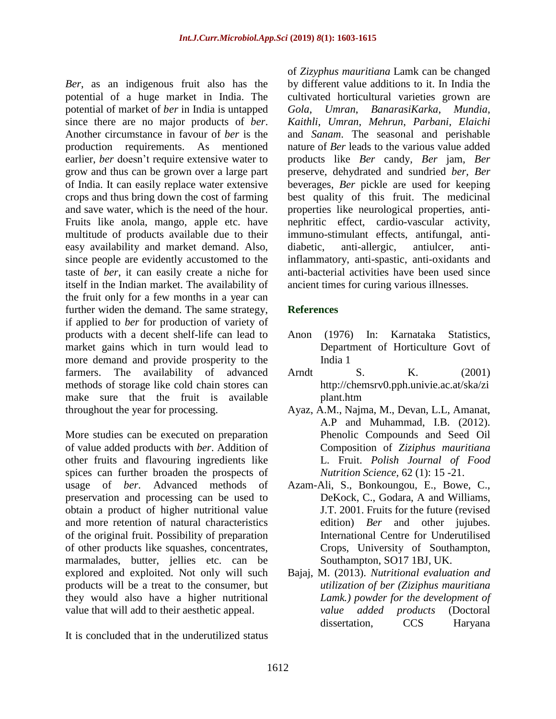*Ber*, as an indigenous fruit also has the potential of a huge market in India. The potential of market of *ber* in India is untapped since there are no major products of *ber*. Another circumstance in favour of *ber* is the production requirements. As mentioned earlier, *ber* doesn't require extensive water to grow and thus can be grown over a large part of India. It can easily replace water extensive crops and thus bring down the cost of farming and save water, which is the need of the hour. Fruits like anola, mango, apple etc. have multitude of products available due to their easy availability and market demand. Also, since people are evidently accustomed to the taste of *ber*, it can easily create a niche for itself in the Indian market. The availability of the fruit only for a few months in a year can further widen the demand. The same strategy, if applied to *ber* for production of variety of products with a decent shelf-life can lead to market gains which in turn would lead to more demand and provide prosperity to the farmers. The availability of advanced methods of storage like cold chain stores can make sure that the fruit is available throughout the year for processing.

More studies can be executed on preparation of value added products with *ber*. Addition of other fruits and flavouring ingredients like spices can further broaden the prospects of usage of *ber*. Advanced methods of preservation and processing can be used to obtain a product of higher nutritional value and more retention of natural characteristics of the original fruit. Possibility of preparation of other products like squashes, concentrates, marmalades, butter, jellies etc. can be explored and exploited. Not only will such products will be a treat to the consumer, but they would also have a higher nutritional value that will add to their aesthetic appeal.

It is concluded that in the underutilized status

of *Zizyphus mauritiana* Lamk can be changed by different value additions to it. In India the cultivated horticultural varieties grown are *Gola*, *Umran*, *BanarasiKarka*, *Mundia*, *Kaithli*, *Umran*, *Mehrun*, *Parbani*, *Elaichi* and *Sanam*. The seasonal and perishable nature of *Ber* leads to the various value added products like *Ber* candy, *Ber* jam, *Ber* preserve, dehydrated and sundried *ber, Ber* beverages, *Ber* pickle are used for keeping best quality of this fruit. The medicinal properties like neurological properties, antinephritic effect, cardio-vascular activity, immuno-stimulant effects, antifungal, antidiabetic, anti-allergic, antiulcer, antiinflammatory, anti-spastic, anti-oxidants and anti-bacterial activities have been used since ancient times for curing various illnesses.

## **References**

- Anon (1976) In: Karnataka Statistics, Department of Horticulture Govt of India 1
- Arndt S. K. (2001) http://chemsrv0.pph.univie.ac.at/ska/zi plant.htm
- Ayaz, A.M., Najma, M., Devan, L.L, Amanat, A.P and Muhammad, I.B. (2012). Phenolic Compounds and Seed Oil Composition of *Ziziphus mauritiana* L. Fruit. *Polish Journal of Food Nutrition Science,* 62 (1): 15 -21.
- Azam-Ali, S., Bonkoungou, E., Bowe, C., DeKock, C., Godara, A and Williams, J.T. 2001. Fruits for the future (revised edition) *Ber* and other jujubes. International Centre for Underutilised Crops, University of Southampton, Southampton, SO17 1BJ, UK.
- Bajaj, M. (2013). *Nutritional evaluation and utilization of ber (Ziziphus mauritiana Lamk.) powder for the development of value added products* (Doctoral dissertation, CCS Haryana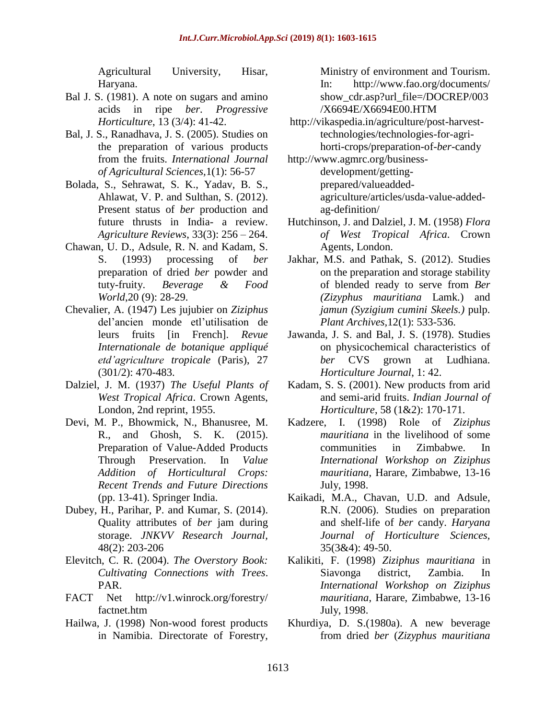Agricultural University, Hisar, Haryana.

- Bal J. S. (1981). A note on sugars and amino acids in ripe *ber*. *Progressive Horticulture*, 13 (3/4): 41-42.
- Bal, J. S., Ranadhava, J. S. (2005). Studies on the preparation of various products from the fruits. *International Journal of Agricultural Sciences,*1(1): 56-57
- Bolada, S., Sehrawat, S. K., Yadav, B. S., Ahlawat, V. P. and Sulthan, S. (2012). Present status of *ber* production and future thrusts in India- a review. *Agriculture Reviews*, 33(3): 256 – 264.
- Chawan, U. D., Adsule, R. N. and Kadam, S. S. (1993) processing of *ber* preparation of dried *ber* powder and tuty-fruity. *Beverage & Food World*,20 (9): 28-29.
- Chevalier, A. (1947) Les jujubier on *Ziziphus* del"ancien monde etl"utilisation de leurs fruits [in French]. *Revue Internationale de botanique appliqué etd'agriculture tropicale* (Paris), 27 (301/2): 470-483.
- Dalziel, J. M. (1937) *The Useful Plants of West Tropical Africa*. Crown Agents, London, 2nd reprint, 1955.
- Devi, M. P., Bhowmick, N., Bhanusree, M. R., and Ghosh, S. K. (2015). Preparation of Value-Added Products Through Preservation. In *Value Addition of Horticultural Crops: Recent Trends and Future Directions* (pp. 13-41). Springer India.
- Dubey, H., Parihar, P. and Kumar, S. (2014). Quality attributes of *ber* jam during storage. *JNKVV Research Journal,* 48(2): 203-206
- Elevitch, C. R. (2004). *The Overstory Book: Cultivating Connections with Trees*. PAR.
- FACT Net http://v1.winrock.org/forestry/ factnet.htm
- Hailwa, J. (1998) Non-wood forest products in Namibia. Directorate of Forestry,

Ministry of environment and Tourism. In: http://www.fao.org/documents/ show\_cdr.asp?url\_file=/DOCREP/003 /X6694E/X6694E00.HTM

- [http://vikaspedia.in/agriculture/post-harvest](http://vikaspedia.in/agriculture/post-harvest-technologies/technologies-for-agri-horti-crops/preparation-of-ber-candy)[technologies/technologies-for-agri](http://vikaspedia.in/agriculture/post-harvest-technologies/technologies-for-agri-horti-crops/preparation-of-ber-candy)[horti-crops/preparation-of-](http://vikaspedia.in/agriculture/post-harvest-technologies/technologies-for-agri-horti-crops/preparation-of-ber-candy)*ber*-candy
- [http://www.agmrc.org/business](http://www.agmrc.org/business-development/getting-prepared/valueadded-agriculture/articles/usda-value-added-ag-definition/)[development/getting](http://www.agmrc.org/business-development/getting-prepared/valueadded-agriculture/articles/usda-value-added-ag-definition/)[prepared/valueadded](http://www.agmrc.org/business-development/getting-prepared/valueadded-agriculture/articles/usda-value-added-ag-definition/)[agriculture/articles/usda-value-added](http://www.agmrc.org/business-development/getting-prepared/valueadded-agriculture/articles/usda-value-added-ag-definition/)[ag-definition/](http://www.agmrc.org/business-development/getting-prepared/valueadded-agriculture/articles/usda-value-added-ag-definition/)
- Hutchinson, J. and Dalziel, J. M. (1958) *Flora of West Tropical Africa*. Crown Agents, London.
- Jakhar, M.S. and Pathak, S. (2012). Studies on the preparation and storage stability of blended ready to serve from *Ber (Zizyphus mauritiana* Lamk*.*) and *jamun (Syzigium cumini Skeels.)* pulp. *Plant Archives,*12(1): 533-536.
- Jawanda, J. S. and Bal, J. S. (1978). Studies on physicochemical characteristics of *ber* CVS grown at Ludhiana. *Horticulture Journal*, 1: 42.
- Kadam, S. S. (2001). New products from arid and semi-arid fruits. *Indian Journal of Horticulture*, 58 (1&2): 170-171.
- Kadzere, I. (1998) Role of *Ziziphus mauritiana* in the livelihood of some communities in Zimbabwe. In *International Workshop on Ziziphus mauritiana*, Harare, Zimbabwe, 13-16 July, 1998.
- Kaikadi, M.A., Chavan, U.D. and Adsule, R.N. (2006). Studies on preparation and shelf-life of *ber* candy. *Haryana Journal of Horticulture Sciences,* 35(3&4): 49-50.
- Kalikiti, F. (1998) *Ziziphus mauritiana* in Siavonga district, Zambia. In *International Workshop on Ziziphus mauritiana*, Harare, Zimbabwe, 13-16 July, 1998.
- Khurdiya, D. S.(1980a). A new beverage from dried *ber* (*Zizyphus mauritiana*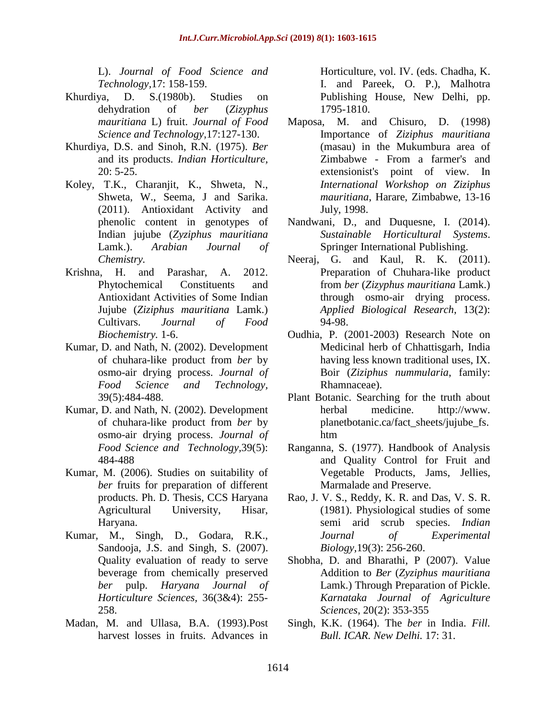L). *Journal of Food Science and Technology,*17: 158-159.

- Khurdiya, D. S.(1980b). Studies on dehydration of *ber* (*Zizyphus mauritiana* L) fruit. *Journal of Food Science and Technology*,17:127-130.
- Khurdiya, D.S. and Sinoh, R.N. (1975). *Ber* and its products. *Indian Horticulture,* 20: 5-25.
- Koley, T.K., Charanjit, K., Shweta, N., Shweta, W., Seema, J and Sarika. (2011). Antioxidant Activity and phenolic content in genotypes of Indian jujube (*Zyziphus mauritiana* Lamk.). *Arabian Journal of Chemistry.*
- Krishna, H. and Parashar, A. 2012. Phytochemical Constituents and Antioxidant Activities of Some Indian Jujube (*Ziziphus mauritiana* Lamk.) Cultivars. *Journal of Food Biochemistry.* 1-6.
- Kumar, D. and Nath, N. (2002). Development of chuhara-like product from *ber* by osmo-air drying process. *Journal of Food Science and Technology,* 39(5):484-488.
- Kumar, D. and Nath, N. (2002). Development of chuhara-like product from *ber* by osmo-air drying process. *Journal of Food Science and Technology,*39(5): 484-488
- Kumar, M. (2006). Studies on suitability of *ber* fruits for preparation of different products. Ph. D. Thesis, CCS Haryana Agricultural University, Hisar, Haryana.
- Kumar, M., Singh, D., Godara, R.K., Sandooja, J.S. and Singh, S. (2007). Quality evaluation of ready to serve beverage from chemically preserved *ber* pulp. *Haryana Journal of Horticulture Sciences,* 36(3&4): 255- 258.
- Madan, M. and Ullasa, B.A. (1993).Post harvest losses in fruits. Advances in

Horticulture, vol. IV. (eds. Chadha, K. I. and Pareek, O. P.), Malhotra Publishing House, New Delhi, pp. 1795-1810.

- Maposa, M. and Chisuro, D. (1998) Importance of *Ziziphus mauritiana* (masau) in the Mukumbura area of Zimbabwe - From a farmer's and extensionist's point of view. In *International Workshop on Ziziphus mauritiana*, Harare, Zimbabwe, 13-16 July, 1998.
- Nandwani, D., and Duquesne, I. (2014). *Sustainable Horticultural Systems*. Springer International Publishing.
- Neeraj, G. and Kaul, R. K. (2011). Preparation of Chuhara-like product from *ber* (*Zizyphus mauritiana* Lamk.) through osmo-air drying process. *Applied Biological Research*, 13(2): 94-98.
- Oudhia, P. (2001-2003) Research Note on Medicinal herb of Chhattisgarh, India having less known traditional uses, IX. Boir (*Ziziphus nummularia*, family: Rhamnaceae).
- Plant Botanic. Searching for the truth about herbal medicine. http://www. planetbotanic.ca/fact\_sheets/jujube\_fs. htm
- Ranganna, S. (1977). Handbook of Analysis and Quality Control for Fruit and Vegetable Products, Jams, Jellies, Marmalade and Preserve.
- Rao, J. V. S., Reddy, K. R. and Das, V. S. R. (1981). Physiological studies of some semi arid scrub species. *Indian Journal of Experimental Biology,*19(3): 256-260.
- Shobha, D. and Bharathi, P (2007). Value Addition to *Ber* (*Zyziphus mauritiana* Lamk.) Through Preparation of Pickle. *Karnataka Journal of Agriculture Sciences*, 20(2): 353-355
- Singh, K.K. (1964). The *ber* in India. *Fill. Bull. ICAR. New Delhi.* 17: 31.